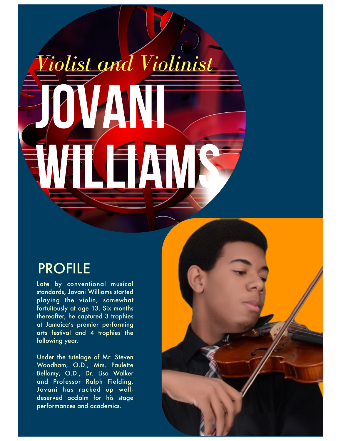## *Violist and Violinist*

## PROFILE

Late by conventional musical standards, Jovani Williams started playing the violin, somewhat fortuitously at age 13. Six months thereafter, he captured 3 trophies at Jamaica's premier performing arts festival and 4 trophies the following year.

Under the tutelage of Mr. Steven Woodham, O.D., Mrs. Paulette Bellamy, O.D., Dr. Lisa Walker and Professor Ralph Fielding, Jovani has racked up welldeserved acclaim for his stage performances and academics.